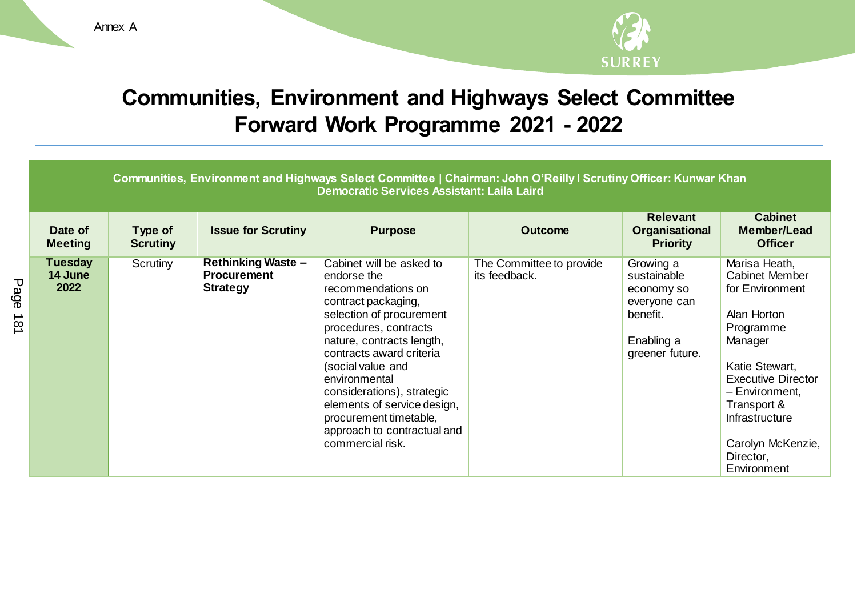Annex A



## **Communities, Environment and Highways Select Committee Forward Work Programme 2021 - 2022**

|                                   | Communities, Environment and Highways Select Committee   Chairman: John O'Reilly I Scrutiny Officer: Kunwar Khan<br>Democratic Services Assistant: Laila Laird |                                                                    |                                                                                                                                                                                                                                                                                                                                                                                    |                                           |                                                                                                     |                                                                                                                                                                                                                                                            |  |
|-----------------------------------|----------------------------------------------------------------------------------------------------------------------------------------------------------------|--------------------------------------------------------------------|------------------------------------------------------------------------------------------------------------------------------------------------------------------------------------------------------------------------------------------------------------------------------------------------------------------------------------------------------------------------------------|-------------------------------------------|-----------------------------------------------------------------------------------------------------|------------------------------------------------------------------------------------------------------------------------------------------------------------------------------------------------------------------------------------------------------------|--|
| Date of<br><b>Meeting</b>         | Type of<br><b>Scrutiny</b>                                                                                                                                     | <b>Issue for Scrutiny</b>                                          | <b>Purpose</b>                                                                                                                                                                                                                                                                                                                                                                     | <b>Outcome</b>                            | <b>Relevant</b><br>Organisational<br><b>Priority</b>                                                | <b>Cabinet</b><br>Member/Lead<br><b>Officer</b>                                                                                                                                                                                                            |  |
| <b>Tuesday</b><br>14 June<br>2022 | Scrutiny                                                                                                                                                       | <b>Rethinking Waste -</b><br><b>Procurement</b><br><b>Strategy</b> | Cabinet will be asked to<br>endorse the<br>recommendations on<br>contract packaging,<br>selection of procurement<br>procedures, contracts<br>nature, contracts length,<br>contracts award criteria<br>(social value and<br>environmental<br>considerations), strategic<br>elements of service design,<br>procurement timetable,<br>approach to contractual and<br>commercial risk. | The Committee to provide<br>its feedback. | Growing a<br>sustainable<br>economy so<br>everyone can<br>benefit.<br>Enabling a<br>greener future. | Marisa Heath,<br><b>Cabinet Member</b><br>for Environment<br>Alan Horton<br>Programme<br>Manager<br>Katie Stewart,<br><b>Executive Director</b><br>- Environment,<br>Transport &<br><b>Infrastructure</b><br>Carolyn McKenzie,<br>Director,<br>Environment |  |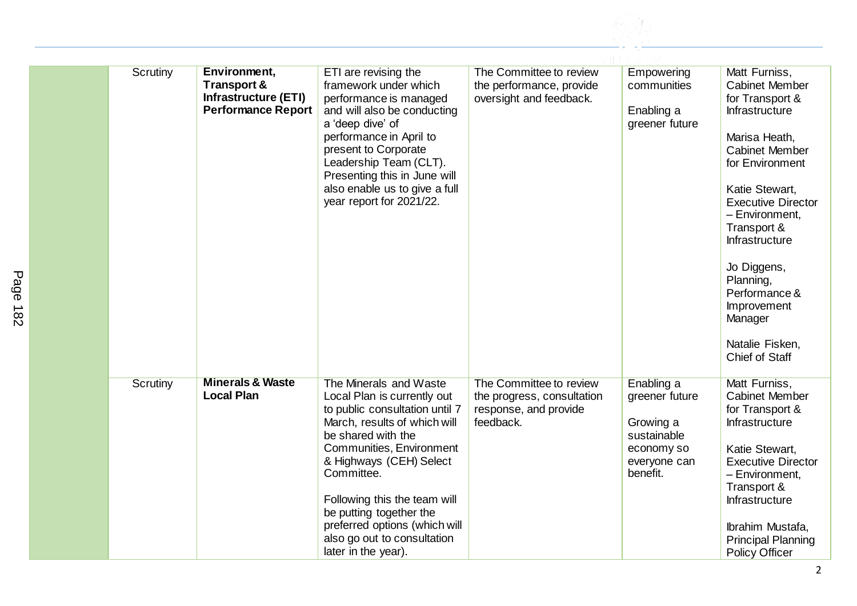| Scrutiny | Environment,<br><b>Transport &amp;</b><br><b>Infrastructure (ETI)</b><br><b>Performance Report</b> | ETI are revising the<br>framework under which<br>performance is managed<br>and will also be conducting<br>a 'deep dive' of<br>performance in April to<br>present to Corporate<br>Leadership Team (CLT).<br>Presenting this in June will<br>also enable us to give a full<br>year report for 2021/22.                                                                 | The Committee to review<br>the performance, provide<br>oversight and feedback.              | Empowering<br>communities<br>Enabling a<br>greener future                                          | Matt Furniss,<br><b>Cabinet Member</b><br>for Transport &<br>Infrastructure<br>Marisa Heath,<br><b>Cabinet Member</b><br>for Environment<br>Katie Stewart,<br><b>Executive Director</b><br>- Environment,<br>Transport &<br>Infrastructure<br>Jo Diggens,<br>Planning,<br>Performance &<br>Improvement<br>Manager<br>Natalie Fisken,<br>Chief of Staff |
|----------|----------------------------------------------------------------------------------------------------|----------------------------------------------------------------------------------------------------------------------------------------------------------------------------------------------------------------------------------------------------------------------------------------------------------------------------------------------------------------------|---------------------------------------------------------------------------------------------|----------------------------------------------------------------------------------------------------|--------------------------------------------------------------------------------------------------------------------------------------------------------------------------------------------------------------------------------------------------------------------------------------------------------------------------------------------------------|
| Scrutiny | <b>Minerals &amp; Waste</b><br><b>Local Plan</b>                                                   | The Minerals and Waste<br>Local Plan is currently out<br>to public consultation until 7<br>March, results of which will<br>be shared with the<br>Communities, Environment<br>& Highways (CEH) Select<br>Committee.<br>Following this the team will<br>be putting together the<br>preferred options (which will<br>also go out to consultation<br>later in the year). | The Committee to review<br>the progress, consultation<br>response, and provide<br>feedback. | Enabling a<br>greener future<br>Growing a<br>sustainable<br>economy so<br>everyone can<br>benefit. | Matt Furniss,<br><b>Cabinet Member</b><br>for Transport &<br>Infrastructure<br>Katie Stewart,<br><b>Executive Director</b><br>- Environment,<br>Transport &<br>Infrastructure<br>Ibrahim Mustafa,<br><b>Principal Planning</b><br><b>Policy Officer</b>                                                                                                |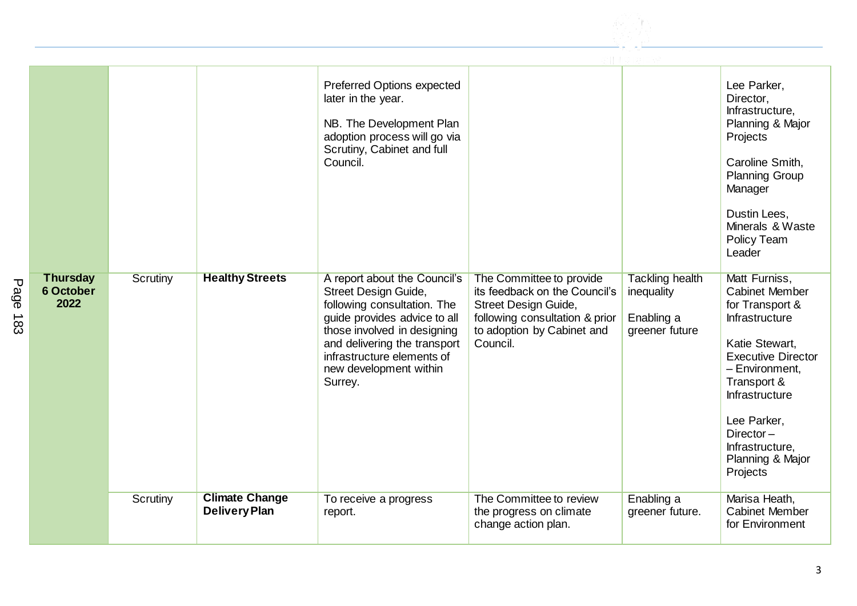

|                                             |                 |                                               | Preferred Options expected<br>later in the year.<br>NB. The Development Plan<br>adoption process will go via<br>Scrutiny, Cabinet and full<br>Council.                                                                                                |                                                                                                                                                               |                                                                      | Lee Parker,<br>Director,<br>Infrastructure,<br>Planning & Major<br>Projects<br>Caroline Smith,<br><b>Planning Group</b><br>Manager<br>Dustin Lees,<br>Minerals & Waste<br>Policy Team<br>Leader                                                                 |
|---------------------------------------------|-----------------|-----------------------------------------------|-------------------------------------------------------------------------------------------------------------------------------------------------------------------------------------------------------------------------------------------------------|---------------------------------------------------------------------------------------------------------------------------------------------------------------|----------------------------------------------------------------------|-----------------------------------------------------------------------------------------------------------------------------------------------------------------------------------------------------------------------------------------------------------------|
| <b>Thursday</b><br><b>6 October</b><br>2022 | Scrutiny        | <b>Healthy Streets</b>                        | A report about the Council's<br>Street Design Guide,<br>following consultation. The<br>guide provides advice to all<br>those involved in designing<br>and delivering the transport<br>infrastructure elements of<br>new development within<br>Surrey. | The Committee to provide<br>its feedback on the Council's<br>Street Design Guide,<br>following consultation & prior<br>to adoption by Cabinet and<br>Council. | <b>Tackling health</b><br>inequality<br>Enabling a<br>greener future | Matt Furniss,<br><b>Cabinet Member</b><br>for Transport &<br>Infrastructure<br>Katie Stewart,<br><b>Executive Director</b><br>- Environment,<br>Transport &<br>Infrastructure<br>Lee Parker,<br>Director $-$<br>Infrastructure,<br>Planning & Major<br>Projects |
|                                             | <b>Scrutiny</b> | <b>Climate Change</b><br><b>Delivery Plan</b> | To receive a progress<br>report.                                                                                                                                                                                                                      | The Committee to review<br>the progress on climate<br>change action plan.                                                                                     | Enabling a<br>greener future.                                        | Marisa Heath,<br><b>Cabinet Member</b><br>for Environment                                                                                                                                                                                                       |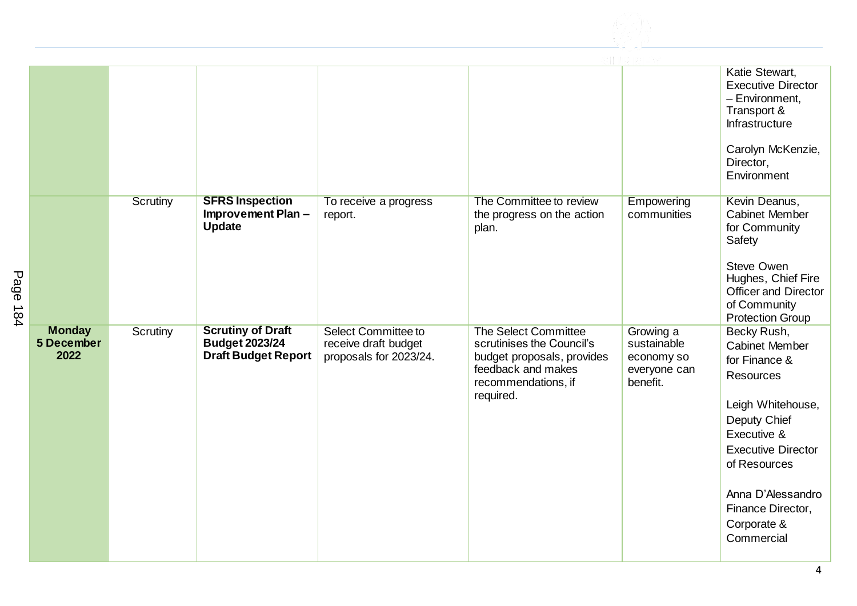

|                                     |                 |                                                                                 |                                                                              |                                                                                                                                                  |                                                                    | Katie Stewart,<br><b>Executive Director</b><br>- Environment,<br>Transport &<br>Infrastructure<br>Carolyn McKenzie,<br>Director,<br>Environment                                                                                                   |
|-------------------------------------|-----------------|---------------------------------------------------------------------------------|------------------------------------------------------------------------------|--------------------------------------------------------------------------------------------------------------------------------------------------|--------------------------------------------------------------------|---------------------------------------------------------------------------------------------------------------------------------------------------------------------------------------------------------------------------------------------------|
|                                     | <b>Scrutiny</b> | <b>SFRS Inspection</b><br>Improvement Plan-<br><b>Update</b>                    | To receive a progress<br>report.                                             | The Committee to review<br>the progress on the action<br>plan.                                                                                   | Empowering<br>communities                                          | Kevin Deanus,<br><b>Cabinet Member</b><br>for Community<br>Safety<br><b>Steve Owen</b><br>Hughes, Chief Fire<br><b>Officer and Director</b><br>of Community<br><b>Protection Group</b>                                                            |
| <b>Monday</b><br>5 December<br>2022 | <b>Scrutiny</b> | <b>Scrutiny of Draft</b><br><b>Budget 2023/24</b><br><b>Draft Budget Report</b> | <b>Select Committee to</b><br>receive draft budget<br>proposals for 2023/24. | <b>The Select Committee</b><br>scrutinises the Council's<br>budget proposals, provides<br>feedback and makes<br>recommendations, if<br>required. | Growing a<br>sustainable<br>economy so<br>everyone can<br>benefit. | Becky Rush,<br><b>Cabinet Member</b><br>for Finance &<br><b>Resources</b><br>Leigh Whitehouse,<br>Deputy Chief<br>Executive &<br><b>Executive Director</b><br>of Resources<br>Anna D'Alessandro<br>Finance Director,<br>Corporate &<br>Commercial |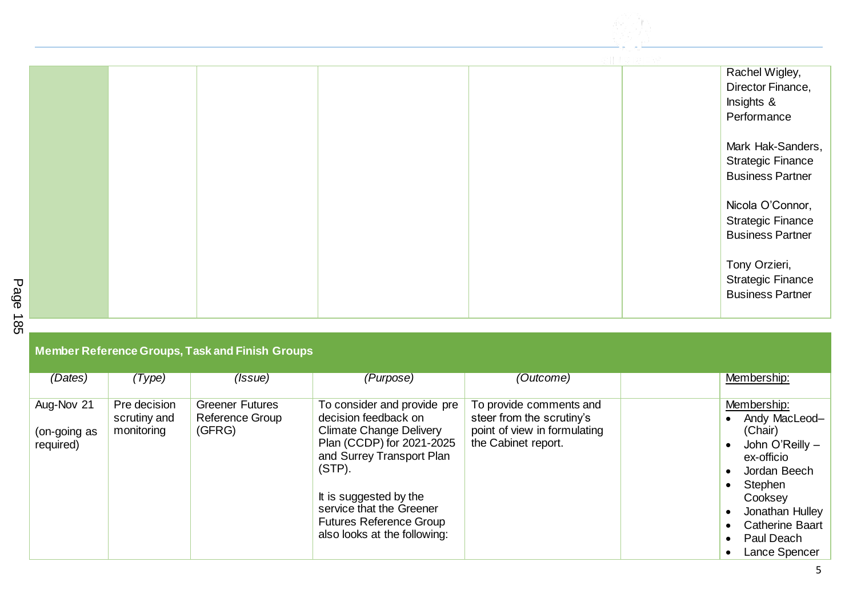

|  |  |  | Rachel Wigley,                            |
|--|--|--|-------------------------------------------|
|  |  |  | Director Finance,                         |
|  |  |  | Insights &                                |
|  |  |  | Performance                               |
|  |  |  | Mark Hak-Sanders,                         |
|  |  |  | <b>Strategic Finance</b>                  |
|  |  |  | <b>Business Partner</b>                   |
|  |  |  | Nicola O'Connor,                          |
|  |  |  | <b>Strategic Finance</b>                  |
|  |  |  | <b>Business Partner</b>                   |
|  |  |  | Tony Orzieri,<br><b>Strategic Finance</b> |
|  |  |  | <b>Business Partner</b>                   |

| <b>Member Reference Groups, Task and Finish Groups</b> |  |  |
|--------------------------------------------------------|--|--|
|                                                        |  |  |
|                                                        |  |  |

| (Dates)      | (Type)       | (Issue)                | (Purpose)                      | (Outcome)                    | Membership:            |
|--------------|--------------|------------------------|--------------------------------|------------------------------|------------------------|
|              |              |                        |                                |                              |                        |
|              |              |                        |                                |                              |                        |
| Aug-Nov 21   | Pre decision | <b>Greener Futures</b> | To consider and provide pre    | To provide comments and      | Membership:            |
|              | scrutiny and | Reference Group        | decision feedback on           | steer from the scrutiny's    | Andy MacLeod-          |
| (on-going as | monitoring   | (GFRG)                 | <b>Climate Change Delivery</b> | point of view in formulating | (Chair)                |
|              |              |                        |                                |                              |                        |
| required)    |              |                        | Plan (CCDP) for 2021-2025      | the Cabinet report.          | John O'Reilly -        |
|              |              |                        | and Surrey Transport Plan      |                              | ex-officio             |
|              |              |                        | $(STP)$ .                      |                              |                        |
|              |              |                        |                                |                              | Jordan Beech           |
|              |              |                        |                                |                              | Stephen                |
|              |              |                        | It is suggested by the         |                              | Cooksey                |
|              |              |                        | service that the Greener       |                              |                        |
|              |              |                        |                                |                              | Jonathan Hulley        |
|              |              |                        | <b>Futures Reference Group</b> |                              | <b>Catherine Baart</b> |
|              |              |                        | also looks at the following:   |                              | Paul Deach             |
|              |              |                        |                                |                              |                        |
|              |              |                        |                                |                              | Lance Spencer          |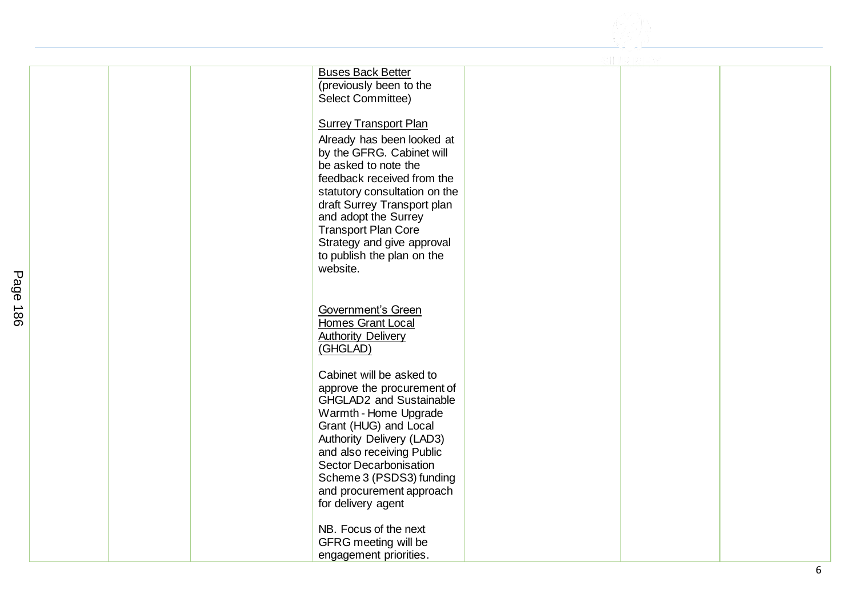| <b>Buses Back Better</b><br>(previously been to the<br>Select Committee)                   |                                                                                                                                                                                                |
|--------------------------------------------------------------------------------------------|------------------------------------------------------------------------------------------------------------------------------------------------------------------------------------------------|
| Already has been looked at<br>by the GFRG. Cabinet will                                    |                                                                                                                                                                                                |
| feedback received from the<br>statutory consultation on the<br>draft Surrey Transport plan |                                                                                                                                                                                                |
| <b>Transport Plan Core</b><br>Strategy and give approval                                   |                                                                                                                                                                                                |
| website.                                                                                   |                                                                                                                                                                                                |
| Government's Green<br>Homes Grant Local<br><b>Authority Delivery</b><br>(GHGLAD)           |                                                                                                                                                                                                |
| Cabinet will be asked to<br>approve the procurement of<br>GHGLAD2 and Sustainable          |                                                                                                                                                                                                |
| Grant (HUG) and Local<br>Authority Delivery (LAD3)<br>and also receiving Public            |                                                                                                                                                                                                |
| Scheme 3 (PSDS3) funding<br>and procurement approach<br>for delivery agent                 |                                                                                                                                                                                                |
| NB. Focus of the next<br>GFRG meeting will be                                              |                                                                                                                                                                                                |
|                                                                                            | <b>Surrey Transport Plan</b><br>be asked to note the<br>and adopt the Surrey<br>to publish the plan on the<br>Warmth - Home Upgrade<br><b>Sector Decarbonisation</b><br>engagement priorities. |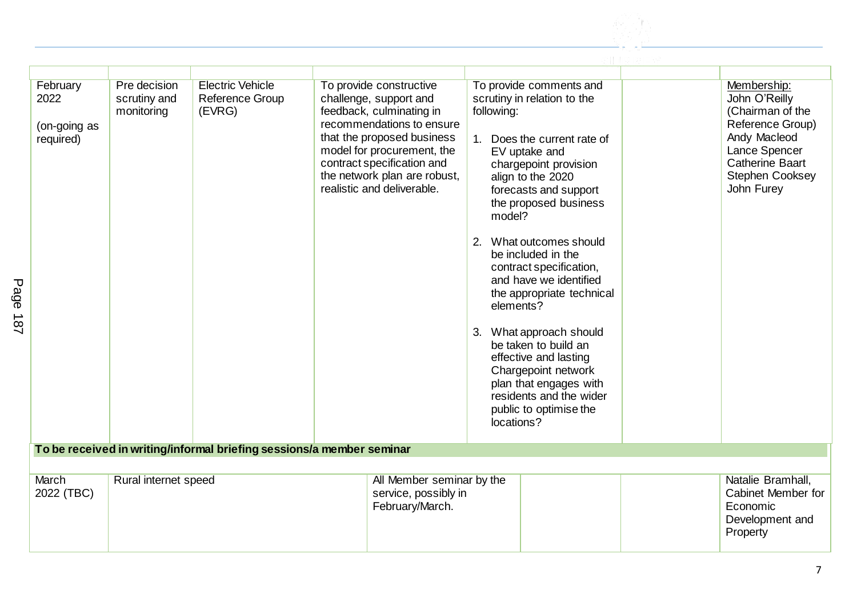| February<br>2022<br>(on-going as<br>required) | Pre decision<br>scrutiny and<br>monitoring | <b>Electric Vehicle</b><br><b>Reference Group</b><br>(EVRG)           | To provide constructive<br>challenge, support and<br>feedback, culminating in<br>recommendations to ensure<br>that the proposed business<br>model for procurement, the<br>contract specification and<br>the network plan are robust,<br>realistic and deliverable. | To provide comments and<br>scrutiny in relation to the<br>following:<br>1. Does the current rate of<br>EV uptake and<br>chargepoint provision<br>align to the 2020<br>forecasts and support<br>the proposed business<br>model?<br>2. What outcomes should<br>be included in the<br>contract specification,<br>and have we identified<br>the appropriate technical<br>elements?<br>3. What approach should<br>be taken to build an<br>effective and lasting<br>Chargepoint network<br>plan that engages with<br>residents and the wider<br>public to optimise the<br>locations? | Membership:<br>John O'Reilly<br>(Chairman of the<br>Reference Group)<br>Andy Macleod<br>Lance Spencer<br><b>Catherine Baart</b><br><b>Stephen Cooksey</b><br>John Furey |  |
|-----------------------------------------------|--------------------------------------------|-----------------------------------------------------------------------|--------------------------------------------------------------------------------------------------------------------------------------------------------------------------------------------------------------------------------------------------------------------|--------------------------------------------------------------------------------------------------------------------------------------------------------------------------------------------------------------------------------------------------------------------------------------------------------------------------------------------------------------------------------------------------------------------------------------------------------------------------------------------------------------------------------------------------------------------------------|-------------------------------------------------------------------------------------------------------------------------------------------------------------------------|--|
|                                               |                                            | To be received in writing/informal briefing sessions/a member seminar |                                                                                                                                                                                                                                                                    |                                                                                                                                                                                                                                                                                                                                                                                                                                                                                                                                                                                |                                                                                                                                                                         |  |
|                                               |                                            |                                                                       |                                                                                                                                                                                                                                                                    |                                                                                                                                                                                                                                                                                                                                                                                                                                                                                                                                                                                |                                                                                                                                                                         |  |
| March<br>2022 (TBC)                           | Rural internet speed                       |                                                                       | All Member seminar by the<br>service, possibly in<br>February/March.                                                                                                                                                                                               |                                                                                                                                                                                                                                                                                                                                                                                                                                                                                                                                                                                | Natalie Bramhall,<br>Cabinet Member for<br>Economic<br>Development and<br>Property                                                                                      |  |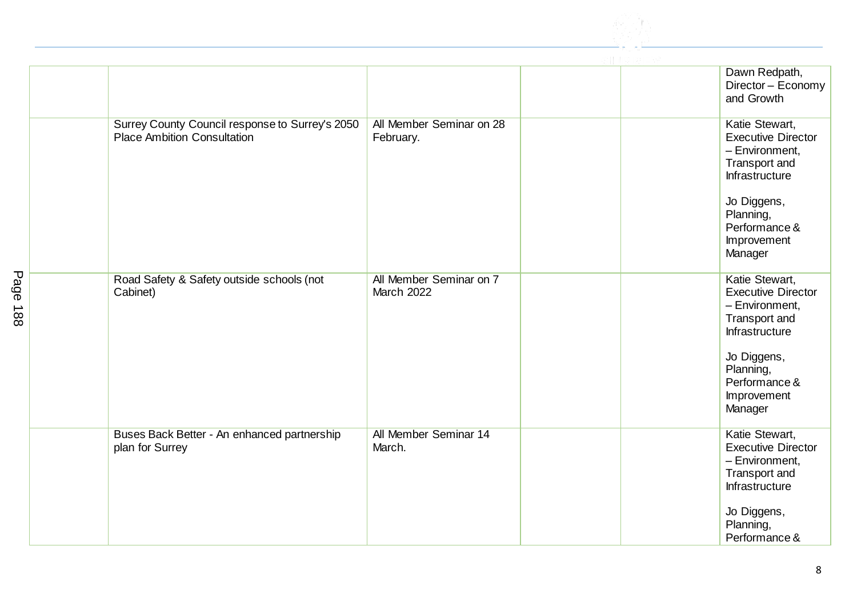

|                                                                                       |                                              | Dawn Redpath,<br>Director - Economy<br>and Growth                                                                                                                       |
|---------------------------------------------------------------------------------------|----------------------------------------------|-------------------------------------------------------------------------------------------------------------------------------------------------------------------------|
| Surrey County Council response to Surrey's 2050<br><b>Place Ambition Consultation</b> | All Member Seminar on 28<br>February.        | Katie Stewart,<br><b>Executive Director</b><br>- Environment,<br>Transport and<br>Infrastructure<br>Jo Diggens,<br>Planning,<br>Performance &<br>Improvement<br>Manager |
| Road Safety & Safety outside schools (not<br>Cabinet)                                 | All Member Seminar on 7<br><b>March 2022</b> | Katie Stewart,<br><b>Executive Director</b><br>- Environment,<br>Transport and<br>Infrastructure<br>Jo Diggens,<br>Planning,<br>Performance &<br>Improvement<br>Manager |
| Buses Back Better - An enhanced partnership<br>plan for Surrey                        | All Member Seminar 14<br>March.              | Katie Stewart,<br><b>Executive Director</b><br>- Environment,<br>Transport and<br>Infrastructure<br>Jo Diggens,<br>Planning,<br>Performance &                           |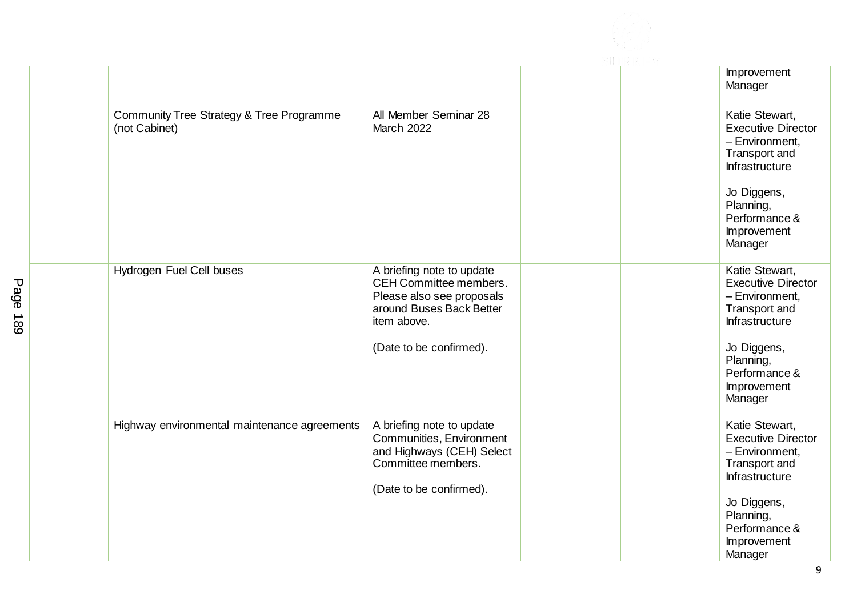

|                                                           |                                                                                                                                                        | Improvement<br>Manager                                                                                                                                                  |
|-----------------------------------------------------------|--------------------------------------------------------------------------------------------------------------------------------------------------------|-------------------------------------------------------------------------------------------------------------------------------------------------------------------------|
| Community Tree Strategy & Tree Programme<br>(not Cabinet) | All Member Seminar 28<br><b>March 2022</b>                                                                                                             | Katie Stewart,<br><b>Executive Director</b><br>- Environment,<br>Transport and<br>Infrastructure<br>Jo Diggens,<br>Planning,<br>Performance &<br>Improvement<br>Manager |
| <b>Hydrogen Fuel Cell buses</b>                           | A briefing note to update<br>CEH Committee members.<br>Please also see proposals<br>around Buses Back Better<br>item above.<br>(Date to be confirmed). | Katie Stewart,<br><b>Executive Director</b><br>- Environment,<br>Transport and<br>Infrastructure<br>Jo Diggens,<br>Planning,<br>Performance &<br>Improvement<br>Manager |
| Highway environmental maintenance agreements              | A briefing note to update<br>Communities, Environment<br>and Highways (CEH) Select<br>Committee members.<br>(Date to be confirmed).                    | Katie Stewart,<br><b>Executive Director</b><br>- Environment,<br>Transport and<br>Infrastructure<br>Jo Diggens,<br>Planning,<br>Performance &<br>Improvement<br>Manager |